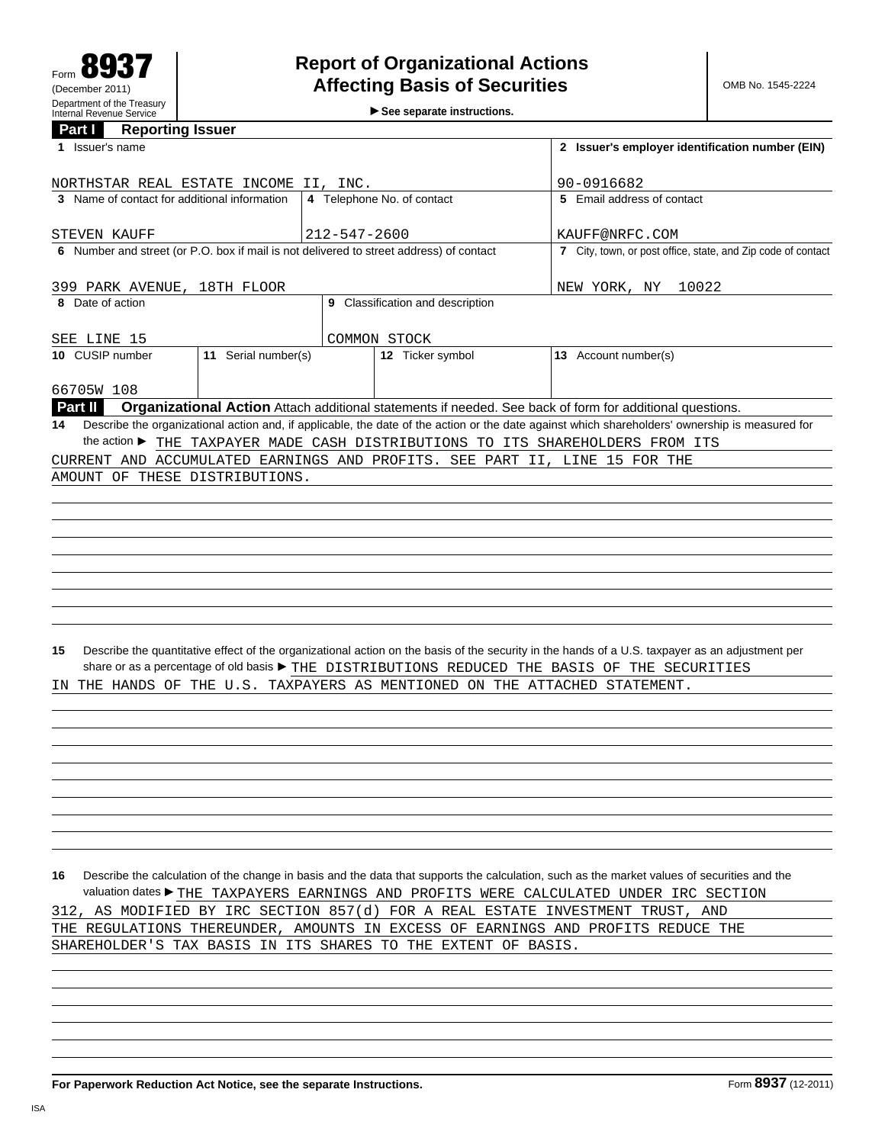**See separate instructions.**

## **Part I Reporting Issuer**

| 1 Issuer's name                                                                                                                                              | 2 Issuer's employer identification number (EIN)<br>90-0916682 |                                  |                                                                                                                                                                                                                                                  |
|--------------------------------------------------------------------------------------------------------------------------------------------------------------|---------------------------------------------------------------|----------------------------------|--------------------------------------------------------------------------------------------------------------------------------------------------------------------------------------------------------------------------------------------------|
| NORTHSTAR REAL ESTATE INCOME II, INC.                                                                                                                        |                                                               |                                  |                                                                                                                                                                                                                                                  |
| 3 Name of contact for additional information                                                                                                                 |                                                               | 4 Telephone No. of contact       | 5 Email address of contact                                                                                                                                                                                                                       |
| STEVEN KAUFF                                                                                                                                                 | $212 - 547 - 2600$                                            |                                  | KAUFF@NRFC.COM                                                                                                                                                                                                                                   |
| 6 Number and street (or P.O. box if mail is not delivered to street address) of contact                                                                      |                                                               |                                  | 7 City, town, or post office, state, and Zip code of contact                                                                                                                                                                                     |
|                                                                                                                                                              |                                                               |                                  |                                                                                                                                                                                                                                                  |
| 399 PARK AVENUE, 18TH FLOOR                                                                                                                                  | NEW YORK, NY<br>10022                                         |                                  |                                                                                                                                                                                                                                                  |
| 8 Date of action                                                                                                                                             |                                                               | 9 Classification and description |                                                                                                                                                                                                                                                  |
| SEE LINE 15                                                                                                                                                  | COMMON STOCK                                                  |                                  |                                                                                                                                                                                                                                                  |
| 10 CUSIP number<br>11 Serial number(s)                                                                                                                       |                                                               | 12 Ticker symbol                 | 13 Account number(s)                                                                                                                                                                                                                             |
| 66705W 108                                                                                                                                                   |                                                               |                                  |                                                                                                                                                                                                                                                  |
| <b>Part II</b>                                                                                                                                               |                                                               |                                  | Organizational Action Attach additional statements if needed. See back of form for additional questions.                                                                                                                                         |
| 14                                                                                                                                                           |                                                               |                                  | Describe the organizational action and, if applicable, the date of the action or the date against which shareholders' ownership is measured for                                                                                                  |
| the action ▶ THE TAXPAYER MADE CASH DISTRIBUTIONS TO ITS SHAREHOLDERS FROM ITS<br>CURRENT AND ACCUMULATED EARNINGS AND PROFITS. SEE PART II, LINE 15 FOR THE |                                                               |                                  |                                                                                                                                                                                                                                                  |
|                                                                                                                                                              |                                                               |                                  |                                                                                                                                                                                                                                                  |
| AMOUNT OF THESE DISTRIBUTIONS.                                                                                                                               |                                                               |                                  |                                                                                                                                                                                                                                                  |
|                                                                                                                                                              |                                                               |                                  |                                                                                                                                                                                                                                                  |
|                                                                                                                                                              |                                                               |                                  |                                                                                                                                                                                                                                                  |
|                                                                                                                                                              |                                                               |                                  |                                                                                                                                                                                                                                                  |
|                                                                                                                                                              |                                                               |                                  |                                                                                                                                                                                                                                                  |
|                                                                                                                                                              |                                                               |                                  |                                                                                                                                                                                                                                                  |
|                                                                                                                                                              |                                                               |                                  |                                                                                                                                                                                                                                                  |
|                                                                                                                                                              |                                                               |                                  |                                                                                                                                                                                                                                                  |
|                                                                                                                                                              |                                                               |                                  |                                                                                                                                                                                                                                                  |
| 15                                                                                                                                                           |                                                               |                                  | Describe the quantitative effect of the organizational action on the basis of the security in the hands of a U.S. taxpayer as an adjustment per<br>share or as a percentage of old basis ▶ THE DISTRIBUTIONS REDUCED THE BASIS OF THE SECURITIES |
| THE HANDS OF THE U.S. TAXPAYERS AS MENTIONED ON THE ATTACHED STATEMENT.<br>IN.                                                                               |                                                               |                                  |                                                                                                                                                                                                                                                  |
|                                                                                                                                                              |                                                               |                                  |                                                                                                                                                                                                                                                  |
|                                                                                                                                                              |                                                               |                                  |                                                                                                                                                                                                                                                  |
|                                                                                                                                                              |                                                               |                                  |                                                                                                                                                                                                                                                  |
|                                                                                                                                                              |                                                               |                                  |                                                                                                                                                                                                                                                  |
|                                                                                                                                                              |                                                               |                                  |                                                                                                                                                                                                                                                  |
|                                                                                                                                                              |                                                               |                                  |                                                                                                                                                                                                                                                  |
|                                                                                                                                                              |                                                               |                                  |                                                                                                                                                                                                                                                  |
|                                                                                                                                                              |                                                               |                                  |                                                                                                                                                                                                                                                  |
|                                                                                                                                                              |                                                               |                                  |                                                                                                                                                                                                                                                  |
|                                                                                                                                                              |                                                               |                                  |                                                                                                                                                                                                                                                  |
| 16                                                                                                                                                           |                                                               |                                  | Describe the calculation of the change in basis and the data that supports the calculation, such as the market values of securities and the                                                                                                      |
|                                                                                                                                                              |                                                               |                                  | valuation dates▶ THE TAXPAYERS EARNINGS AND PROFITS WERE CALCULATED UNDER IRC SECTION                                                                                                                                                            |
| 312, AS MODIFIED BY IRC SECTION 857(d) FOR A REAL ESTATE INVESTMENT TRUST, AND                                                                               |                                                               |                                  |                                                                                                                                                                                                                                                  |
|                                                                                                                                                              |                                                               |                                  |                                                                                                                                                                                                                                                  |
| THE REGULATIONS THEREUNDER, AMOUNTS IN EXCESS OF EARNINGS AND PROFITS REDUCE THE<br>SHAREHOLDER'S TAX BASIS IN ITS SHARES TO THE EXTENT OF BASIS.            |                                                               |                                  |                                                                                                                                                                                                                                                  |
|                                                                                                                                                              |                                                               |                                  |                                                                                                                                                                                                                                                  |
|                                                                                                                                                              |                                                               |                                  |                                                                                                                                                                                                                                                  |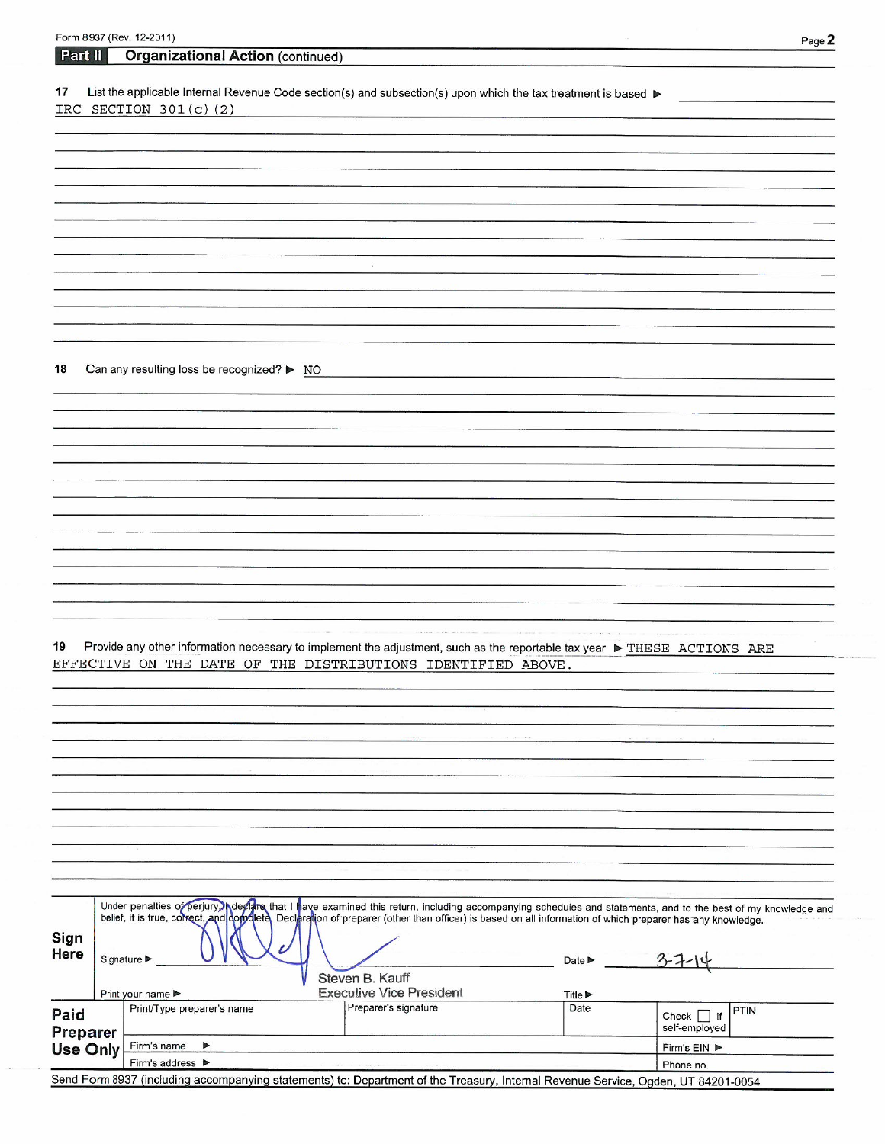|                 | Form 8937 (Rev. 12-2011)                                                                                                                                                                                                                                                                                                |                                 |                             |                                |
|-----------------|-------------------------------------------------------------------------------------------------------------------------------------------------------------------------------------------------------------------------------------------------------------------------------------------------------------------------|---------------------------------|-----------------------------|--------------------------------|
| Part II         | <b>Organizational Action (continued)</b>                                                                                                                                                                                                                                                                                |                                 |                             | Page 2                         |
|                 |                                                                                                                                                                                                                                                                                                                         |                                 |                             |                                |
| 17              | List the applicable Internal Revenue Code section(s) and subsection(s) upon which the tax treatment is based ▶<br>IRC SECTION $301(c)$ (2)                                                                                                                                                                              |                                 |                             |                                |
|                 |                                                                                                                                                                                                                                                                                                                         |                                 |                             |                                |
|                 |                                                                                                                                                                                                                                                                                                                         |                                 |                             |                                |
|                 |                                                                                                                                                                                                                                                                                                                         |                                 |                             |                                |
|                 |                                                                                                                                                                                                                                                                                                                         |                                 |                             |                                |
|                 |                                                                                                                                                                                                                                                                                                                         |                                 |                             |                                |
|                 |                                                                                                                                                                                                                                                                                                                         |                                 |                             |                                |
|                 |                                                                                                                                                                                                                                                                                                                         |                                 |                             |                                |
|                 |                                                                                                                                                                                                                                                                                                                         |                                 |                             |                                |
|                 |                                                                                                                                                                                                                                                                                                                         |                                 |                             |                                |
|                 |                                                                                                                                                                                                                                                                                                                         |                                 |                             |                                |
|                 |                                                                                                                                                                                                                                                                                                                         |                                 |                             |                                |
|                 |                                                                                                                                                                                                                                                                                                                         |                                 |                             |                                |
| 18              | Can any resulting loss be recognized? ▶ NO                                                                                                                                                                                                                                                                              |                                 |                             |                                |
|                 |                                                                                                                                                                                                                                                                                                                         |                                 |                             |                                |
|                 |                                                                                                                                                                                                                                                                                                                         |                                 |                             |                                |
|                 |                                                                                                                                                                                                                                                                                                                         |                                 |                             |                                |
|                 |                                                                                                                                                                                                                                                                                                                         |                                 |                             |                                |
|                 |                                                                                                                                                                                                                                                                                                                         |                                 |                             |                                |
|                 |                                                                                                                                                                                                                                                                                                                         |                                 |                             |                                |
|                 |                                                                                                                                                                                                                                                                                                                         |                                 |                             |                                |
|                 |                                                                                                                                                                                                                                                                                                                         |                                 |                             |                                |
|                 |                                                                                                                                                                                                                                                                                                                         |                                 |                             |                                |
|                 |                                                                                                                                                                                                                                                                                                                         |                                 |                             |                                |
|                 |                                                                                                                                                                                                                                                                                                                         |                                 |                             |                                |
|                 |                                                                                                                                                                                                                                                                                                                         |                                 |                             |                                |
|                 |                                                                                                                                                                                                                                                                                                                         |                                 |                             |                                |
| 19              | Provide any other information necessary to implement the adjustment, such as the reportable tax year ▶ THESE ACTIONS ARE                                                                                                                                                                                                |                                 |                             |                                |
|                 | EFFECTIVE ON THE DATE OF THE DISTRIBUTIONS IDENTIFIED ABOVE.                                                                                                                                                                                                                                                            |                                 |                             |                                |
|                 |                                                                                                                                                                                                                                                                                                                         |                                 |                             |                                |
|                 |                                                                                                                                                                                                                                                                                                                         |                                 |                             |                                |
|                 |                                                                                                                                                                                                                                                                                                                         |                                 |                             |                                |
|                 |                                                                                                                                                                                                                                                                                                                         |                                 |                             |                                |
|                 |                                                                                                                                                                                                                                                                                                                         |                                 |                             |                                |
|                 |                                                                                                                                                                                                                                                                                                                         |                                 |                             |                                |
|                 |                                                                                                                                                                                                                                                                                                                         |                                 |                             |                                |
|                 |                                                                                                                                                                                                                                                                                                                         |                                 |                             |                                |
|                 |                                                                                                                                                                                                                                                                                                                         |                                 |                             |                                |
|                 |                                                                                                                                                                                                                                                                                                                         |                                 |                             |                                |
|                 |                                                                                                                                                                                                                                                                                                                         |                                 |                             |                                |
|                 | Under penalties of perjury) Adeclare that I have examined this return, including accompanying schedules and statements, and to the best of my knowledge and<br>belief, it is true, concect, and dopplete, Declaration of preparer (other than officer) is based on all information of which preparer has any knowledge. |                                 |                             |                                |
| Sign            |                                                                                                                                                                                                                                                                                                                         |                                 |                             |                                |
| Here            | Signature ▶                                                                                                                                                                                                                                                                                                             |                                 | Date $\blacktriangleright$  |                                |
|                 |                                                                                                                                                                                                                                                                                                                         | Steven B. Kauff                 |                             |                                |
|                 | Print your name ▶                                                                                                                                                                                                                                                                                                       | <b>Executive Vice President</b> | Title $\blacktriangleright$ |                                |
| Paid            | Print/Type preparer's name                                                                                                                                                                                                                                                                                              | Preparer's signature            | Date                        | PTIN<br>Check $\vert \vert$ if |
| Preparer        |                                                                                                                                                                                                                                                                                                                         |                                 |                             | self-employed                  |
| <b>Use Only</b> | Firm's name<br>▶                                                                                                                                                                                                                                                                                                        |                                 |                             | Firm's EIN ▶                   |
|                 | Firm's address $\blacktriangleright$<br>Send Form 8937 (including accompanying statements) to: Department of the Treasury, Internal Revenue Service, Ogden, UT 84201-0054                                                                                                                                               |                                 |                             | Phone no.                      |
|                 |                                                                                                                                                                                                                                                                                                                         |                                 |                             |                                |